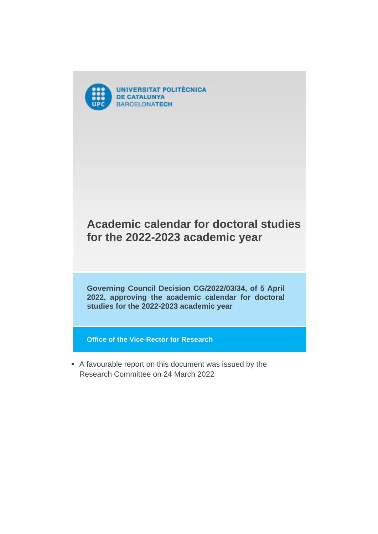

## **Academic calendar for doctoral studies for the 2022-2023 academic year**

**Governing Council Decision CG/2022/03/34, of 5 April 2022, approving the academic calendar for doctoral studies for the 2022-2023 academic year**

**Office of the Vice-Rector for Research**

 A favourable report on this document was issued by the Research Committee on 24 March 2022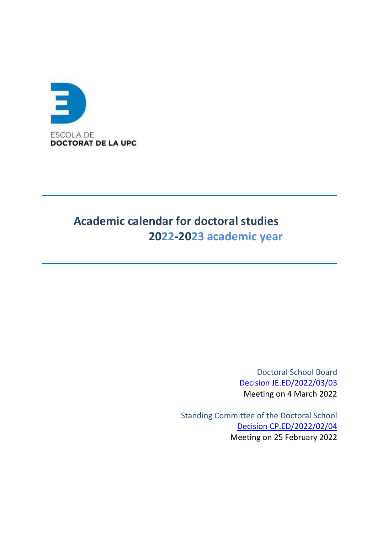

# **Academic calendar for doctoral studies 2022-2023 academic year**

Doctoral School Board [Decision JE.ED/2022/03/03](https://govern.upc.edu/ca/escola-de-doctorat/organs-escola-de-doctorat/junta-de-lescola-de-doctorat/junta-de-led-4-de-marc-2022/aprovacio-si-s2019escau-del-calendari-academic-dels-estudis-de-doctorat-per-al-curs-2022-2023) Meeting on 4 March 2022

Standing Committee of the Doctoral School [Decision CP.ED/2022/02/04](https://govern.upc.edu/ca/escola-de-doctorat/organs-escola-de-doctorat/comissio-permanent-de-lescola-de-doctorat/comissio-permanent-25-02-22/aprovacio-si-s2019escau-del-calendari-academic-dels-estudis-de-doctorat-per-al-curs-2022-2023/aprovacio-si-s2019escau-del-calendari-academic-dels-estudis-de-doctorat-per-al-curs-2022-2023) Meeting on 25 February 2022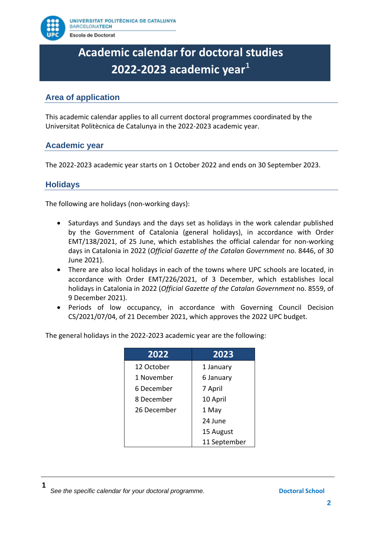

# **Academic calendar for doctoral studies 2022-2023 academic year**<sup>1</sup>

### **Area of application**

This academic calendar applies to all current doctoral programmes coordinated by the Universitat Politècnica de Catalunya in the 2022-2023 academic year.

#### **Academic year**

The 2022-2023 academic year starts on 1 October 2022 and ends on 30 September 2023.

#### **Holidays**

The following are holidays (non-working days):

- Saturdays and Sundays and the days set as holidays in the work calendar published by the Government of Catalonia (general holidays), in accordance with Order EMT/138/2021, of 25 June, which establishes the official calendar for non-working days in Catalonia in 2022 (*Official Gazette of the Catalan Government* no. 8446, of 30 June 2021).
- There are also local holidays in each of the towns where UPC schools are located, in accordance with Order EMT/226/2021, of 3 December, which establishes local holidays in Catalonia in 2022 (*Official Gazette of the Catalan Government* no. 8559, of 9 December 2021).
- Periods of low occupancy, in accordance with Governing Council Decision CS/2021/07/04, of 21 December 2021, which approves the 2022 UPC budget.

| 2022        | 2023         |
|-------------|--------------|
| 12 October  | 1 January    |
| 1 November  | 6 January    |
| 6 December  | 7 April      |
| 8 December  | 10 April     |
| 26 December | 1 May        |
|             | 24 June      |
|             | 15 August    |
|             | 11 September |

The general holidays in the 2022-2023 academic year are the following: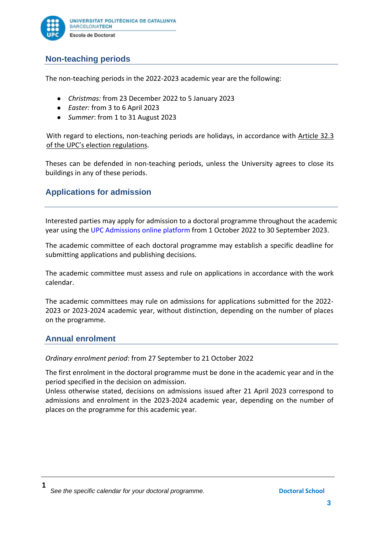

### **Non-teaching periods**

The non-teaching periods in the 2022-2023 academic year are the following:

- *Christmas:* from 23 December 2022 to 5 January 2023
- *Easter:* from 3 to 6 April 2023
- *Summer*: from 1 to 31 August 2023

With regard to elections, non-teaching periods are holidays, in accordance with [Article 32.3](https://www.upc.edu/normatives/documents/claustre-universitari/acord-10-2014-reglament-electoral-upc%23page=27&zoom=auto,70,633)  [of the UPC's election regulations](https://www.upc.edu/normatives/documents/claustre-universitari/acord-10-2014-reglament-electoral-upc%23page=27&zoom=auto,70,633).

Theses can be defended in non-teaching periods, unless the University agrees to close its buildings in any of these periods.

#### **Applications for admission**

Interested parties may apply for admission to a doctoral programme throughout the academic year using the [UPC Admissions online platform](https://prisma-nou.upc.edu/apl/home_preinscripcio.php?idioma=1) from 1 October 2022 to 30 September 2023.

The academic committee of each doctoral programme may establish a specific deadline for submitting applications and publishing decisions.

The academic committee must assess and rule on applications in accordance with the work calendar.

The academic committees may rule on admissions for applications submitted for the 2022- 2023 or 2023-2024 academic year, without distinction, depending on the number of places on the programme.

#### **Annual enrolment**

*Ordinary enrolment period*: from 27 September to 21 October 2022

The first enrolment in the doctoral programme must be done in the academic year and in the period specified in the decision on admission.

Unless otherwise stated, decisions on admissions issued after 21 April 2023 correspond to admissions and enrolment in the 2023-2024 academic year, depending on the number of places on the programme for this academic year.

**<sup>1</sup> See the specific calendar for your doctoral programme. Doctoral School Doctoral School**